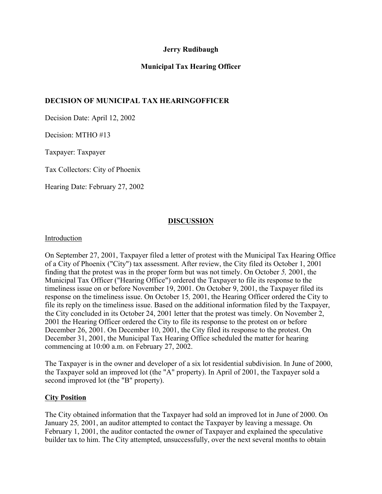## **Jerry Rudibaugh**

# **Municipal Tax Hearing Officer**

## **DECISION OF MUNICIPAL TAX HEARINGOFFICER**

Decision Date: April 12, 2002

Decision: MTHO #13

Taxpayer: Taxpayer

Tax Collectors: City of Phoenix

Hearing Date: February 27, 2002

### **DISCUSSION**

### Introduction

On September 27, 2001, Taxpayer filed a letter of protest with the Municipal Tax Hearing Office of a City of Phoenix ("City") tax assessment. After review, the City filed its October 1, 2001 finding that the protest was in the proper form but was not timely. On October *5,* 2001, the Municipal Tax Officer ("Hearing Office") ordered the Taxpayer to file its response to the timeliness issue on or before November 19, 2001. On October 9, 2001, the Taxpayer filed its response on the timeliness issue. On October 15*,* 2001, the Hearing Officer ordered the City to file its reply on the timeliness issue. Based on the additional information filed by the Taxpayer, the City concluded in its October 24, 2001 letter that the protest was timely. On November 2, 2001 the Hearing Officer ordered the City to file its response to the protest on or before December 26, 2001. On December 10, 2001, the City filed its response to the protest. On December 31, 2001, the Municipal Tax Hearing Office scheduled the matter for hearing commencing at 10:00 a.m. on February 27, 2002.

The Taxpayer is in the owner and developer of a six lot residential subdivision. In June of 2000, the Taxpayer sold an improved lot (the "A" property). In April of 2001, the Taxpayer sold a second improved lot (the "B" property).

#### **City Position**

The City obtained information that the Taxpayer had sold an improved lot in June of 2000. On January 25*,* 2001, an auditor attempted to contact the Taxpayer by leaving a message. On February 1, 2001, the auditor contacted the owner of Taxpayer and explained the speculative builder tax to him. The City attempted, unsuccessfully, over the next several months to obtain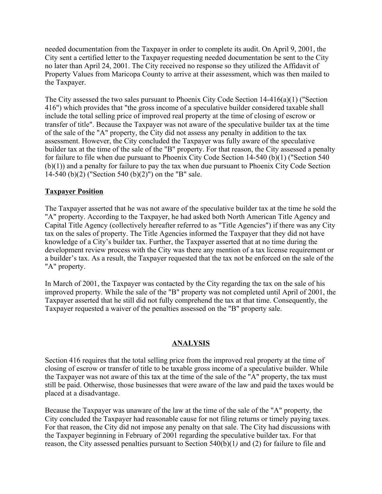needed documentation from the Taxpayer in order to complete its audit. On April 9, 2001, the City sent a certified letter to the Taxpayer requesting needed documentation be sent to the City no later than April 24, 2001. The City received no response so they utilized the Affidavit of Property Values from Maricopa County to arrive at their assessment, which was then mailed to the Taxpayer.

The City assessed the two sales pursuant to Phoenix City Code Section 14-416(a)(1) ("Section 416") which provides that "the gross income of a speculative builder considered taxable shall include the total selling price of improved real property at the time of closing of escrow or transfer of title". Because the Taxpayer was not aware of the speculative builder tax at the time of the sale of the "A" property, the City did not assess any penalty in addition to the tax assessment. However, the City concluded the Taxpayer was fully aware of the speculative builder tax at the time of the sale of the "B" property. For that reason, the City assessed a penalty for failure to file when due pursuant to Phoenix City Code Section 14-540 (b)(1) ("Section 540 (b)(1)) and a penalty for failure to pay the tax when due pursuant to Phoenix City Code Section 14-540 (b)(2) ("Section 540 (b)(2)") on the "B" sale.

### **Taxpayer Position**

The Taxpayer asserted that he was not aware of the speculative builder tax at the time he sold the "A" property. According to the Taxpayer, he had asked both North American Title Agency and Capital Title Agency (collectively hereafter referred to as "Title Agencies") if there was any City tax on the sales of property. The Title Agencies informed the Taxpayer that they did not have knowledge of a City's builder tax. Further, the Taxpayer asserted that at no time during the development review process with the City was there any mention of a tax license requirement or a builder's tax. As a result, the Taxpayer requested that the tax not be enforced on the sale of the "A" property.

In March of 2001, the Taxpayer was contacted by the City regarding the tax on the sale of his improved property. While the sale of the "B" property was not completed until April of 2001, the Taxpayer asserted that he still did not fully comprehend the tax at that time. Consequently, the Taxpayer requested a waiver of the penalties assessed on the "B" property sale.

#### **ANALYSIS**

Section 416 requires that the total selling price from the improved real property at the time of closing of escrow or transfer of title to be taxable gross income of a speculative builder. While the Taxpayer was not aware of this tax at the time of the sale of the "A" property, the tax must still be paid. Otherwise, those businesses that were aware of the law and paid the taxes would be placed at a disadvantage.

Because the Taxpayer was unaware of the law at the time of the sale of the "A" property, the City concluded the Taxpayer had reasonable cause for not filing returns or timely paying taxes. For that reason, the City did not impose any penalty on that sale. The City had discussions with the Taxpayer beginning in February of 2001 regarding the speculative builder tax. For that reason, the City assessed penalties pursuant to Section 540(b)(1*)* and (2) for failure to file and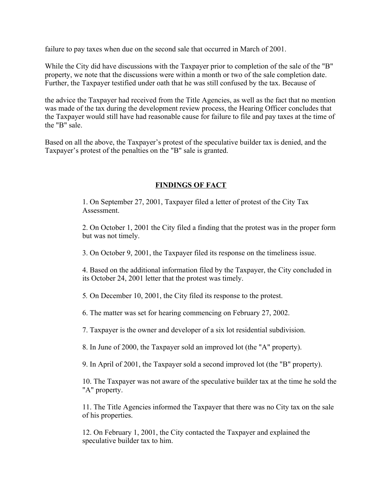failure to pay taxes when due on the second sale that occurred in March of 2001.

While the City did have discussions with the Taxpayer prior to completion of the sale of the "B" property, we note that the discussions were within a month or two of the sale completion date. Further, the Taxpayer testified under oath that he was still confused by the tax. Because of

the advice the Taxpayer had received from the Title Agencies, as well as the fact that no mention was made of the tax during the development review process, the Hearing Officer concludes that the Taxpayer would still have had reasonable cause for failure to file and pay taxes at the time of the "B" sale.

Based on all the above, the Taxpayer's protest of the speculative builder tax is denied, and the Taxpayer's protest of the penalties on the "B" sale is granted.

## **FINDINGS OF FACT**

1. On September 27, 2001, Taxpayer filed a letter of protest of the City Tax **Assessment** 

2. On October 1, 2001 the City filed a finding that the protest was in the proper form but was not timely.

3. On October 9, 2001, the Taxpayer filed its response on the timeliness issue.

4. Based on the additional information filed by the Taxpayer, the City concluded in its October 24, 2001 letter that the protest was timely.

5*.* On December 10, 2001, the City filed its response to the protest.

6. The matter was set for hearing commencing on February 27, 2002.

7. Taxpayer is the owner and developer of a six lot residential subdivision.

8. In June of 2000, the Taxpayer sold an improved lot (the "A" property).

9. In April of 2001, the Taxpayer sold a second improved lot (the "B" property).

10. The Taxpayer was not aware of the speculative builder tax at the time he sold the "A" property.

11. The Title Agencies informed the Taxpayer that there was no City tax on the sale of his properties.

12. On February 1, 2001, the City contacted the Taxpayer and explained the speculative builder tax to him.